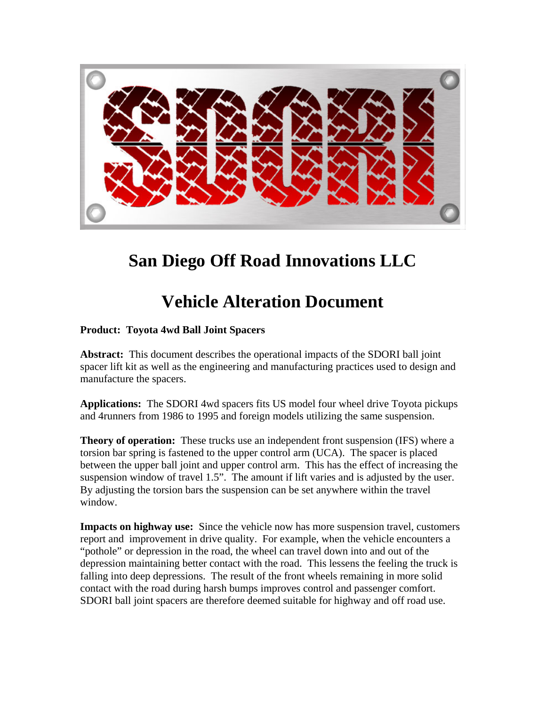

## **San Diego Off Road Innovations LLC**

## **Vehicle Alteration Document**

## **Product: Toyota 4wd Ball Joint Spacers**

**Abstract:** This document describes the operational impacts of the SDORI ball joint spacer lift kit as well as the engineering and manufacturing practices used to design and manufacture the spacers.

**Applications:** The SDORI 4wd spacers fits US model four wheel drive Toyota pickups and 4runners from 1986 to 1995 and foreign models utilizing the same suspension.

**Theory of operation:** These trucks use an independent front suspension (IFS) where a torsion bar spring is fastened to the upper control arm (UCA). The spacer is placed between the upper ball joint and upper control arm. This has the effect of increasing the suspension window of travel 1.5". The amount if lift varies and is adjusted by the user. By adjusting the torsion bars the suspension can be set anywhere within the travel window.

**Impacts on highway use:** Since the vehicle now has more suspension travel, customers report and improvement in drive quality. For example, when the vehicle encounters a "pothole" or depression in the road, the wheel can travel down into and out of the depression maintaining better contact with the road. This lessens the feeling the truck is falling into deep depressions. The result of the front wheels remaining in more solid contact with the road during harsh bumps improves control and passenger comfort. SDORI ball joint spacers are therefore deemed suitable for highway and off road use.